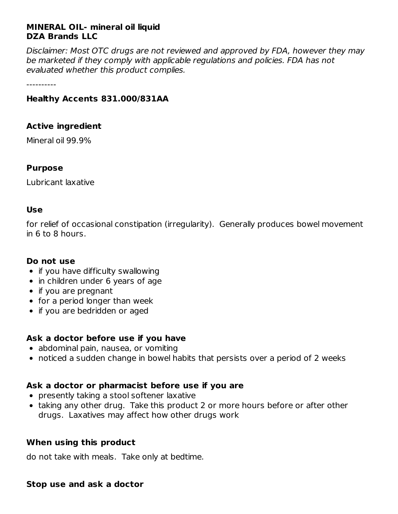## **MINERAL OIL- mineral oil liquid DZA Brands LLC**

Disclaimer: Most OTC drugs are not reviewed and approved by FDA, however they may be marketed if they comply with applicable regulations and policies. FDA has not evaluated whether this product complies.

----------

## **Healthy Accents 831.000/831AA**

#### **Active ingredient**

Mineral oil 99.9%

#### **Purpose**

Lubricant laxative

#### **Use**

for relief of occasional constipation (irregularity). Generally produces bowel movement in 6 to 8 hours.

#### **Do not use**

- $\bullet$  if you have difficulty swallowing
- in children under 6 years of age
- if you are pregnant
- for a period longer than week
- if you are bedridden or aged

## **Ask a doctor before use if you have**

- abdominal pain, nausea, or vomiting
- noticed a sudden change in bowel habits that persists over a period of 2 weeks

## **Ask a doctor or pharmacist before use if you are**

- presently taking a stool softener laxative
- taking any other drug. Take this product 2 or more hours before or after other drugs. Laxatives may affect how other drugs work

#### **When using this product**

do not take with meals. Take only at bedtime.

#### **Stop use and ask a doctor**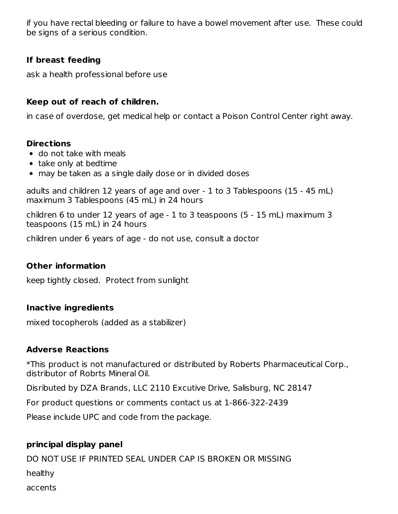if you have rectal bleeding or failure to have a bowel movement after use. These could be signs of a serious condition.

## **If breast feeding**

ask a health professional before use

## **Keep out of reach of children.**

in case of overdose, get medical help or contact a Poison Control Center right away.

#### **Directions**

- do not take with meals
- take only at bedtime
- may be taken as a single daily dose or in divided doses

adults and children 12 years of age and over - 1 to 3 Tablespoons (15 - 45 mL) maximum 3 Tablespoons (45 mL) in 24 hours

children 6 to under 12 years of age - 1 to 3 teaspoons (5 - 15 mL) maximum 3 teaspoons (15 mL) in 24 hours

children under 6 years of age - do not use, consult a doctor

## **Other information**

keep tightly closed. Protect from sunlight

## **Inactive ingredients**

mixed tocopherols (added as a stabilizer)

## **Adverse Reactions**

\*This product is not manufactured or distributed by Roberts Pharmaceutical Corp., distributor of Robrts Mineral Oil.

Disributed by DZA Brands, LLC 2110 Excutive Drive, Salisburg, NC 28147

For product questions or comments contact us at 1-866-322-2439

Please include UPC and code from the package.

## **principal display panel**

DO NOT USE IF PRINTED SEAL UNDER CAP IS BROKEN OR MISSING healthy accents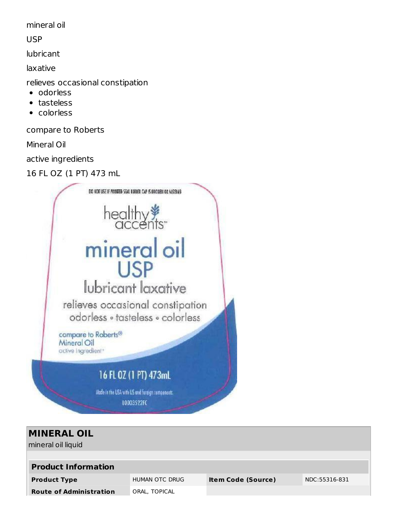mineral oil

USP

lubricant

laxative

relieves occasional constipation

- odorless
- tasteless  $\bullet$
- colorless

compare to Roberts

Mineral Oil

active ingredients

16 FL OZ (1 PT) 473 mL



| <b>MINERAL OIL</b><br>mineral oil liquid |                |                           |               |  |  |
|------------------------------------------|----------------|---------------------------|---------------|--|--|
|                                          |                |                           |               |  |  |
| <b>Product Information</b>               |                |                           |               |  |  |
| <b>Product Type</b>                      | HUMAN OTC DRUG | <b>Item Code (Source)</b> | NDC:55316-831 |  |  |
| <b>Route of Administration</b>           | ORAL, TOPICAL  |                           |               |  |  |